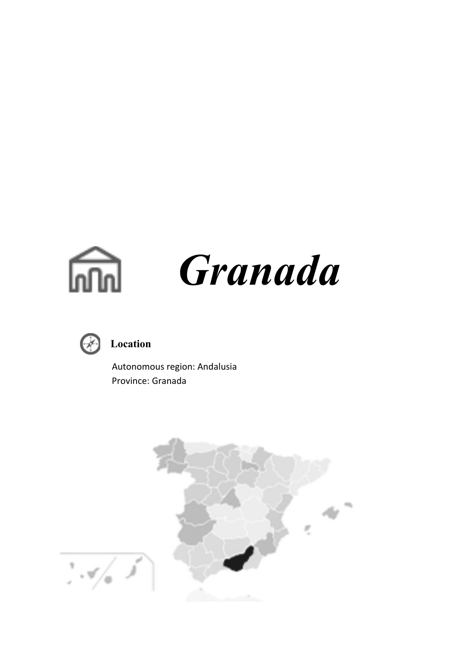



# **Location**

 Autonomous region: Andalusia Province: Granada

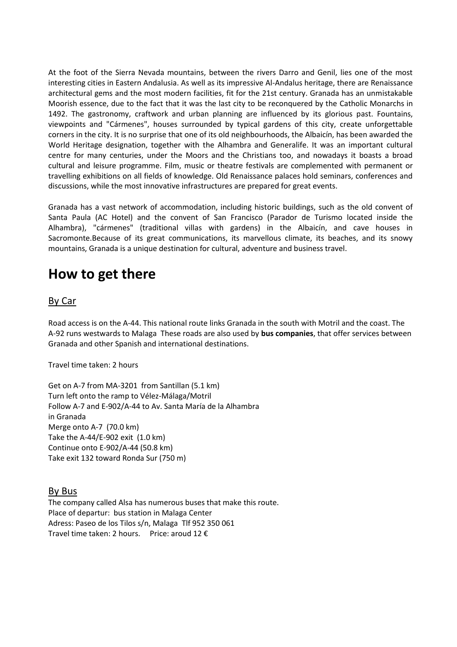At the foot of the Sierra Nevada mountains, between the rivers Darro and Genil, lies one of the most interesting cities in Eastern Andalusia. As well as its impressive Al-Andalus heritage, there are Renaissance architectural gems and the most modern facilities, fit for the 21st century. Granada has an unmistakable Moorish essence, due to the fact that it was the last city to be reconquered by the Catholic Monarchs in 1492. The gastronomy, craftwork and urban planning are influenced by its glorious past. Fountains, viewpoints and "Cármenes", houses surrounded by typical gardens of this city, create unforgettable corners in the city. It is no surprise that one of its old neighbourhoods, the Albaicín, has been awarded the World Heritage designation, together with the Alhambra and Generalife. It was an important cultural centre for many centuries, under the Moors and the Christians too, and nowadays it boasts a broad cultural and leisure programme. Film, music or theatre festivals are complemented with permanent or travelling exhibitions on all fields of knowledge. Old Renaissance palaces hold seminars, conferences and discussions, while the most innovative infrastructures are prepared for great events.

Granada has a vast network of accommodation, including historic buildings, such as the old convent of Santa Paula (AC Hotel) and the convent of San Francisco (Parador de Turismo located inside the Alhambra), "cármenes" (traditional villas with gardens) in the Albaicín, and cave houses in Sacromonte.Because of its great communications, its marvellous climate, its beaches, and its snowy mountains, Granada is a unique destination for cultural, adventure and business travel.

# **How to get there**

### By Car

Road access is on the A-44. This national route links Granada in the south with Motril and the coast. The A-92 runs westwards to Malaga These roads are also used by **bus companies**, that offer services between Granada and other Spanish and international destinations.

Travel time taken: 2 hours

Get on A-7 from MA-3201 from Santillan (5.1 km) Turn left onto the ramp to Vélez-Málaga/Motril Follow A-7 and E-902/A-44 to Av. Santa María de la Alhambra in Granada Merge onto A-7 (70.0 km) Take the A-44/E-902 exit (1.0 km) Continue onto E-902/A-44 (50.8 km) Take exit 132 toward Ronda Sur (750 m)

### By Bus

The company called Alsa has numerous buses that make this route. Place of departur: bus station in Malaga Center Adress: Paseo de los Tilos s/n, Malaga Tlf 952 350 061 Travel time taken: 2 hours. Price: aroud 12 €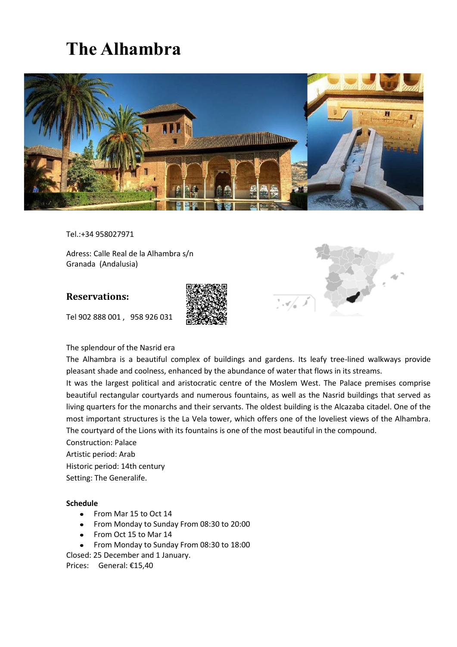# **The Alhambra**



Tel.:+34 958027971

Adress: Calle Real de la Alhambra s/n Granada (Andalusia)

### **Reservations:**

Tel 902 888 001 , 958 926 031





#### The splendour of the Nasrid era

The Alhambra is a beautiful complex of buildings and gardens. Its leafy tree-lined walkways provide pleasant shade and coolness, enhanced by the abundance of water that flows in its streams.

It was the largest political and aristocratic centre of the Moslem West. The Palace premises comprise beautiful rectangular courtyards and numerous fountains, as well as the Nasrid buildings that served as living quarters for the monarchs and their servants. The oldest building is the Alcazaba citadel. One of the most important structures is the La Vela tower, which offers one of the loveliest views of the Alhambra. The courtyard of the Lions with its fountains is one of the most beautiful in the compound.

Construction: Palace Artistic period: Arab Historic period: 14th century Setting: The Generalife.

#### **Schedule**

- From Mar 15 to Oct 14
- From Monday to Sunday From 08:30 to 20:00
- From Oct 15 to Mar 14
- From Monday to Sunday From 08:30 to 18:00

Closed: 25 December and 1 January.

Prices: General: €15,40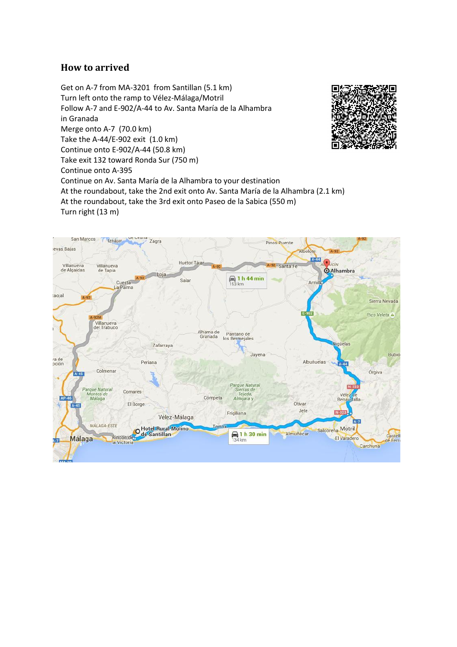## **How to arrived**

Get on A-7 from MA-3201 from Santillan (5.1 km) Turn left onto the ramp to Vélez-Málaga/Motril Follow A-7 and E-902/A-44 to Av. Santa María de la Alhambra in Granada Merge onto A-7 (70.0 km) Take the A-44/E-902 exit (1.0 km) Continue onto E-902/A-44 (50.8 km) Take exit 132 toward Ronda Sur (750 m) Continue onto A-395 Continue on Av. Santa María de la Alhambra to your destination At the roundabout, take the 2nd exit onto Av. Santa María de la Alhambra (2.1 km) At the roundabout, take the 3rd exit onto Paseo de la Sabica (550 m) Turn right (13 m)



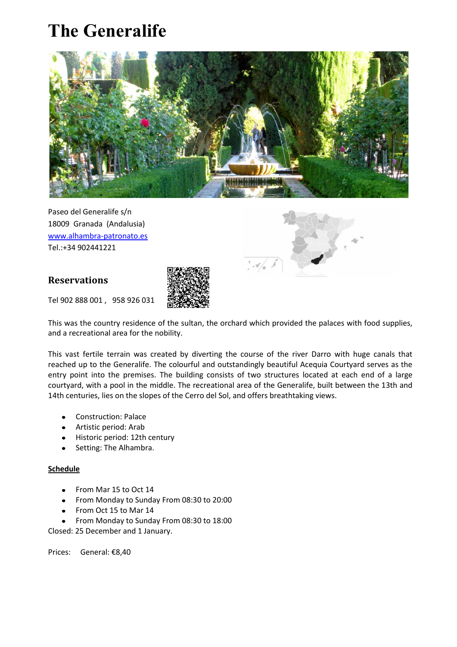# **The Generalife**



Paseo del Generalife s/n 18009 Granada (Andalusia) www.alhambra-patronato.es Tel.:+34 902441221

## **Reservations**



Tel 902 888 001 , 958 926 031

This was the country residence of the sultan, the orchard which provided the palaces with food supplies, and a recreational area for the nobility.

This vast fertile terrain was created by diverting the course of the river Darro with huge canals that reached up to the Generalife. The colourful and outstandingly beautiful Acequia Courtyard serves as the entry point into the premises. The building consists of two structures located at each end of a large courtyard, with a pool in the middle. The recreational area of the Generalife, built between the 13th and 14th centuries, lies on the slopes of the Cerro del Sol, and offers breathtaking views.

- Construction: Palace
- Artistic period: Arab
- Historic period: 12th century
- Setting: The Alhambra.

#### **Schedule**

- From Mar 15 to Oct 14
- From Monday to Sunday From 08:30 to 20:00
- From Oct 15 to Mar 14
- From Monday to Sunday From 08:30 to 18:00

Closed: 25 December and 1 January.

Prices: General: €8,40